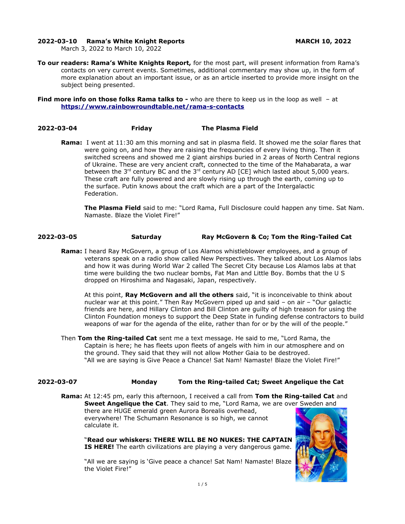### **2022-03-10 Rama's White Knight Reports MARCH 10, 2022**

March 3, 2022 to March 10, 2022

**To our readers: Rama's White Knights Report,** for the most part, will present information from Rama's contacts on very current events. Sometimes, additional commentary may show up, in the form of more explanation about an important issue, or as an article inserted to provide more insight on the subject being presented.

**Find more info on those folks Rama talks to -** who are there to keep us in the loop as well - at **<https://www.rainbowroundtable.net/rama-s-contacts>**

### **2022-03-04 Friday The Plasma Field**

**Rama:** I went at 11:30 am this morning and sat in plasma field. It showed me the solar flares that were going on, and how they are raising the frequencies of every living thing. Then it switched screens and showed me 2 giant airships buried in 2 areas of North Central regions of Ukraine. These are very ancient craft, connected to the time of the Mahabarata, a war between the 3<sup>rd</sup> century BC and the 3<sup>rd</sup> century AD [CE] which lasted about 5,000 years. These craft are fully powered and are slowly rising up through the earth, coming up to the surface. Putin knows about the craft which are a part of the Intergalactic Federation.

**The Plasma Field** said to me: "Lord Rama, Full Disclosure could happen any time. Sat Nam. Namaste. Blaze the Violet Fire!"

### **2022-03-05 Saturday Ray McGovern & Co; Tom the Ring-Tailed Cat**

**Rama:** I heard Ray McGovern, a group of Los Alamos whistleblower employees, and a group of veterans speak on a radio show called New Perspectives. They talked about Los Alamos labs and how it was during World War 2 called The Secret City because Los Alamos labs at that time were building the two nuclear bombs, Fat Man and Little Boy. Bombs that the U S dropped on Hiroshima and Nagasaki, Japan, respectively.

At this point, **Ray McGovern and all the others** said, "it is inconceivable to think about nuclear war at this point." Then Ray McGovern piped up and said – on air – "Our galactic friends are here, and Hillary Clinton and Bill Clinton are guilty of high treason for using the Clinton Foundation moneys to support the Deep State in funding defense contractors to build weapons of war for the agenda of the elite, rather than for or by the will of the people."

Then **Tom the Ring-tailed Cat** sent me a text message. He said to me, "Lord Rama, the Captain is here; he has fleets upon fleets of angels with him in our atmosphere and on the ground. They said that they will not allow Mother Gaia to be destroyed. "All we are saying is Give Peace a Chance! Sat Nam! Namaste! Blaze the Violet Fire!"

# **2022-03-07 Monday Tom the Ring-tailed Cat; Sweet Angelique the Cat**

**Rama:** At 12:45 pm, early this afternoon, I received a call from **Tom the Ring-tailed Cat** and **Sweet Angelique the Cat**. They said to me, "Lord Rama, we are over Sweden and there are HUGE emerald green Aurora Borealis overhead, everywhere! The Schumann Resonance is so high, we cannot calculate it.

"**Read our whiskers: THERE WILL BE NO NUKES: THE CAPTAIN IS HERE!** The earth civilizations are playing a very dangerous game.

"All we are saying is 'Give peace a chance! Sat Nam! Namaste! Blaze the Violet Fire!"

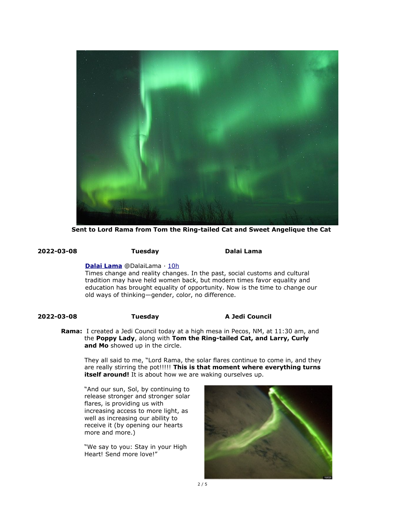

**Sent to Lord Rama from Tom the Ring-tailed Cat and Sweet Angelique the Cat** 

**2022-03-08 Tuesday Dalai Lama** 

**[Dalai Lama](https://twitter.com/DalaiLama)** @DalaiLama · [10h](https://twitter.com/DalaiLama/status/1501164305118822401)

Times change and reality changes. In the past, social customs and cultural tradition may have held women back, but modern times favor equality and education has brought equality of opportunity. Now is the time to change our old ways of thinking—gender, color, no difference.

# **2022-03-08 Tuesday A Jedi Council**

**Rama:** I created a Jedi Council today at a high mesa in Pecos, NM, at 11:30 am, and the **Poppy Lady**, along with **Tom the Ring-tailed Cat, and Larry, Curly and Mo** showed up in the circle.

They all said to me, "Lord Rama, the solar flares continue to come in, and they are really stirring the pot!!!!! **This is that moment where everything turns itself around!** It is about how we are waking ourselves up.

"And our sun, Sol, by continuing to release stronger and stronger solar flares, is providing us with increasing access to more light, as well as increasing our ability to receive it (by opening our hearts more and more.)

"We say to you: Stay in your High Heart! Send more love!"

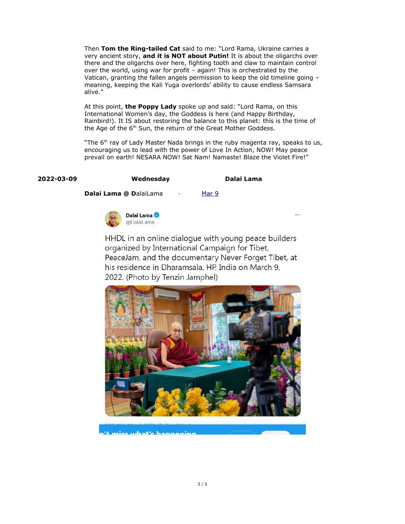Then **Tom the Ring-tailed Cat** said to me: "Lord Rama, Ukraine carries a very ancient story, **and it is NOT about Putin!** It is about the oligarchs over there and the oligarchs over here, fighting tooth and claw to maintain control over the world, using war for profit – again! This is orchestrated by the Vatican, granting the fallen angels permission to keep the old timeline going – meaning, keeping the Kali Yuga overlords' ability to cause endless Samsara alive."

At this point, **the Poppy Lady** spoke up and said: "Lord Rama, on this International Women's day, the Goddess is here (and Happy Birthday, Rainbird!). It IS about restoring the balance to this planet: this is the time of the Age of the 6<sup>th</sup> Sun, the return of the Great Mother Goddess.

"The 6<sup>th</sup> ray of Lady Master Nada brings in the ruby magenta ray, speaks to us, encouraging us to lead with the power of Love In Action, NOW! May peace prevail on earth! NESARA NOW! Sat Nam! Namaste! Blaze the Violet Fire!"

## **2022-03-09 Wednesday Dalai Lama**

 $\overline{a}$ 

**Dalai Lama @ D**alaiLama · [Mar 9](https://twitter.com/DalaiLama/status/1501491340307484675)



HHDL in an online dialogue with young peace builders organized by International Campaign for Tibet, PeaceJam, and the documentary Never Forget Tibet, at his residence in Dharamsala, HP, India on March 9, 2022. (Photo by Tenzin Jamphel)



nice what's hannoning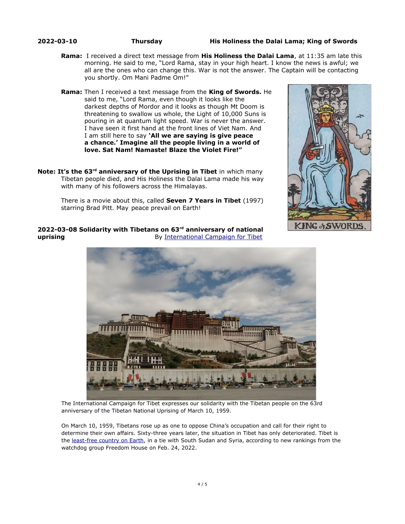**2022-03-10 Thursday His Holiness the Dalai Lama; King of Swords**

- **Rama:** I received a direct text message from **His Holiness the Dalai Lama**, at 11:35 am late this morning. He said to me, "Lord Rama, stay in your high heart. I know the news is awful; we all are the ones who can change this. War is not the answer. The Captain will be contacting you shortly. Om Mani Padme Om!"
- **Rama:** Then I received a text message from the **King of Swords.** He said to me, "Lord Rama, even though it looks like the darkest depths of Mordor and it looks as though Mt Doom is threatening to swallow us whole, the Light of 10,000 Suns is pouring in at quantum light speed. War is never the answer. I have seen it first hand at the front lines of Viet Nam. And I am still here to say **'All we are saying is give peace a chance.' Imagine all the people living in a world of love. Sat Nam! Namaste! Blaze the Violet Fire!"**
- **Note: It's the 63rd anniversary of the Uprising in Tibet** in which many Tibetan people died, and His Holiness the Dalai Lama made his way with many of his followers across the Himalayas.

KING & SWORDS

There is a movie about this, called **Seven 7 Years in Tibet** (1997) starring Brad Pitt. May peace prevail on Earth!



**2022-03-08 Solidarity with Tibetans on 63rd anniversary of national uprising By [International Campaign for Tibet](https://savetibet.org/author/international-campaign-for-tibet/)** 

The International Campaign for Tibet expresses our solidarity with the Tibetan people on the 63rd anniversary of the Tibetan National Uprising of March 10, 1959.

On March 10, 1959, Tibetans rose up as one to oppose China's occupation and call for their right to determine their own affairs. Sixty-three years later, the situation in Tibet has only deteriorated. Tibet is the [least-free country on Earth](https://savetibet.org/tibet-least-free-country-alongside-south-sudan-syria-in-new-ranking/), in a tie with South Sudan and Syria, according to new rankings from the watchdog group Freedom House on Feb. 24, 2022.